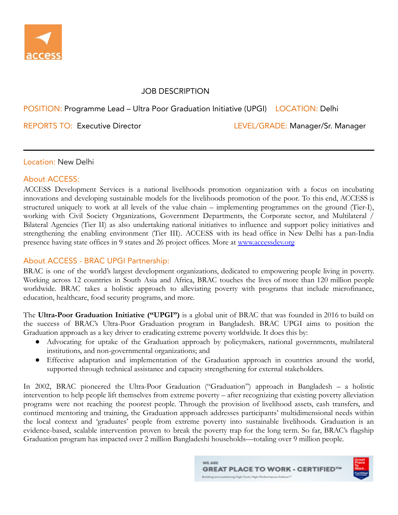

## JOB DESCRIPTION

## POSITION: Programme Lead – Ultra Poor Graduation Initiative (UPGI) LOCATION: Delhi

REPORTS TO: Executive Director Level And LEVEL/GRADE: Manager/Sr. Manager

Location: New Delhi

#### About ACCESS:

ACCESS Development Services is a national livelihoods promotion organization with a focus on incubating innovations and developing sustainable models for the livelihoods promotion of the poor. To this end, ACCESS is structured uniquely to work at all levels of the value chain – implementing programmes on the ground (Tier-I), working with Civil Society Organizations, Government Departments, the Corporate sector, and Multilateral / Bilateral Agencies (Tier II) as also undertaking national initiatives to influence and support policy initiatives and strengthening the enabling environment (Tier III). ACCESS with its head office in New Delhi has a pan-India presence having state offices in 9 states and 26 project offices. More at [www.accessdev.org](http://www.accessdev.org)

### About ACCESS - BRAC UPGI Partnership:

BRAC is one of the world's largest development organizations, dedicated to empowering people living in poverty. Working across 12 countries in South Asia and Africa, BRAC touches the lives of more than 120 million people worldwide. BRAC takes a holistic approach to alleviating poverty with programs that include microfinance, education, healthcare, food security programs, and more.

The **Ultra-Poor Graduation Initiative ("UPGI")** is a global unit of BRAC that was founded in 2016 to build on the success of BRAC's Ultra-Poor Graduation program in Bangladesh. BRAC UPGI aims to position the Graduation approach as a key driver to eradicating extreme poverty worldwide. It does this by:

- Advocating for uptake of the Graduation approach by policymakers, national governments, multilateral institutions, and non-governmental organizations; and
- Effective adaptation and implementation of the Graduation approach in countries around the world, supported through technical assistance and capacity strengthening for external stakeholders.

In 2002, BRAC pioneered the Ultra-Poor Graduation ("Graduation") approach in Bangladesh – a holistic intervention to help people lift themselves from extreme poverty – after recognizing that existing poverty alleviation programs were not reaching the poorest people. Through the provision of livelihood assets, cash transfers, and continued mentoring and training, the Graduation approach addresses participants' multidimensional needs within the local context and 'graduates' people from extreme poverty into sustainable livelihoods. Graduation is an evidence-based, scalable intervention proven to break the poverty trap for the long term. So far, BRAC's flagship Graduation program has impacted over 2 million Bangladeshi households—totaling over 9 million people.

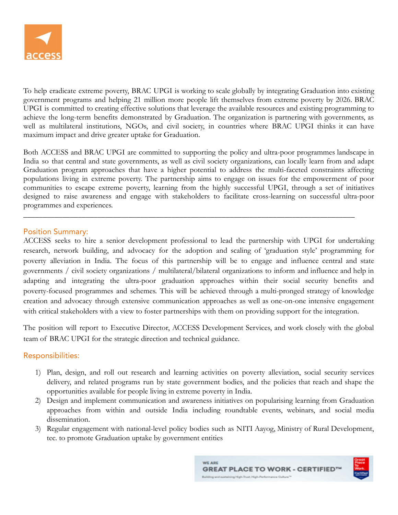

To help eradicate extreme poverty, BRAC UPGI is working to scale globally by integrating Graduation into existing government programs and helping 21 million more people lift themselves from extreme poverty by 2026. BRAC UPGI is committed to creating effective solutions that leverage the available resources and existing programming to achieve the long-term benefits demonstrated by Graduation. The organization is partnering with governments, as well as multilateral institutions, NGOs, and civil society, in countries where BRAC UPGI thinks it can have maximum impact and drive greater uptake for Graduation.

Both ACCESS and BRAC UPGI are committed to supporting the policy and ultra-poor programmes landscape in India so that central and state governments, as well as civil society organizations, can locally learn from and adapt Graduation program approaches that have a higher potential to address the multi-faceted constraints affecting populations living in extreme poverty. The partnership aims to engage on issues for the empowerment of poor communities to escape extreme poverty, learning from the highly successful UPGI, through a set of initiatives designed to raise awareness and engage with stakeholders to facilitate cross-learning on successful ultra-poor programmes and experiences.

\_\_\_\_\_\_\_\_\_\_\_\_\_\_\_\_\_\_\_\_\_\_\_\_\_\_\_\_\_\_\_\_\_\_\_\_\_\_\_\_\_\_\_\_\_\_\_\_\_\_\_\_\_\_\_\_\_\_\_\_\_\_\_\_\_\_\_\_\_\_\_\_\_\_\_\_\_\_\_\_\_\_\_\_\_

#### Position Summary:

ACCESS seeks to hire a senior development professional to lead the partnership with UPGI for undertaking research, network building, and advocacy for the adoption and scaling of 'graduation style' programming for poverty alleviation in India. The focus of this partnership will be to engage and influence central and state governments / civil society organizations / multilateral/bilateral organizations to inform and influence and help in adapting and integrating the ultra-poor graduation approaches within their social security benefits and poverty-focused programmes and schemes. This will be achieved through a multi-pronged strategy of knowledge creation and advocacy through extensive communication approaches as well as one-on-one intensive engagement with critical stakeholders with a view to foster partnerships with them on providing support for the integration.

The position will report to Executive Director, ACCESS Development Services, and work closely with the global team of BRAC UPGI for the strategic direction and technical guidance.

### Responsibilities:

- 1) Plan, design, and roll out research and learning activities on poverty alleviation, social security services delivery, and related programs run by state government bodies, and the policies that reach and shape the opportunities available for people living in extreme poverty in India.
- 2) Design and implement communication and awareness initiatives on popularising learning from Graduation approaches from within and outside India including roundtable events, webinars, and social media dissemination.
- 3) Regular engagement with national-level policy bodies such as NITI Aayog, Ministry of Rural Development, tec. to promote Graduation uptake by government entities

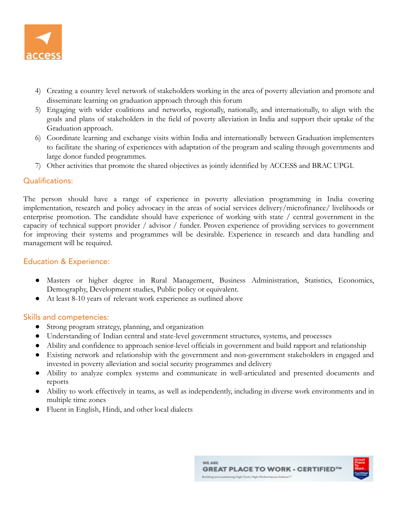

- 4) Creating a country level network of stakeholders working in the area of poverty alleviation and promote and disseminate learning on graduation approach through this forum
- 5) Engaging with wider coalitions and networks, regionally, nationally, and internationally, to align with the goals and plans of stakeholders in the field of poverty alleviation in India and support their uptake of the Graduation approach.
- 6) Coordinate learning and exchange visits within India and internationally between Graduation implementers to facilitate the sharing of experiences with adaptation of the program and scaling through governments and large donor funded programmes.
- 7) Other activities that promote the shared objectives as jointly identified by ACCESS and BRAC UPGI.

# Qualifications:

The person should have a range of experience in poverty alleviation programming in India covering implementation, research and policy advocacy in the areas of social services delivery/microfinance/ livelihoods or enterprise promotion. The candidate should have experience of working with state / central government in the capacity of technical support provider / advisor / funder. Proven experience of providing services to government for improving their systems and programmes will be desirable. Experience in research and data handling and management will be required.

# Education & Experience:

- Masters or higher degree in Rural Management, Business Administration, Statistics, Economics, Demography, Development studies, Public policy or equivalent.
- At least 8-10 years of relevant work experience as outlined above

### Skills and competencies:

- **●** Strong program strategy, planning, and organization
- Understanding of Indian central and state-level government structures, systems, and processes
- Ability and confidence to approach senior-level officials in government and build rapport and relationship
- Existing network and relationship with the government and non-government stakeholders in engaged and invested in poverty alleviation and social security programmes and delivery
- Ability to analyze complex systems and communicate in well-articulated and presented documents and reports
- Ability to work effectively in teams, as well as independently, including in diverse work environments and in multiple time zones
- Fluent in English, Hindi, and other local dialects